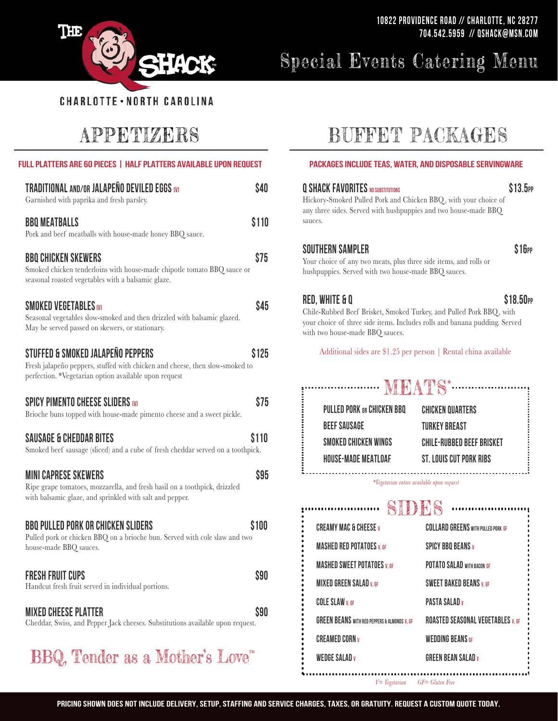

## Special Events Catering Menu

### APPETIZERS

| <b>FULL PLATTERS ARE 60 PIECES   HALF PLATTERS AVAILABLE UPON REQUEST</b>                                                                                                  |       |                                                                                                                                                                                                        | PACKAGES INCLUDE TEAS, WATER, AND DISPOSABLE SERVINGWARE                                    |
|----------------------------------------------------------------------------------------------------------------------------------------------------------------------------|-------|--------------------------------------------------------------------------------------------------------------------------------------------------------------------------------------------------------|---------------------------------------------------------------------------------------------|
| TRADITIONAL AND/OR JALAPEÑO DEVILED EGGS (V)<br>Garnished with paprika and fresh parsley.                                                                                  | \$40  | <b>Q SHACK FAVORITES NO SUBSTITUTIONS</b><br>Hickory-Smoked Pulled Pork and Chicken BBQ, with your choice of<br>any three sides. Served with hushpuppies and two house-made BBQ                        | \$13.                                                                                       |
| <b>BBQ MEATBALLS</b><br>Pork and beef meatballs with house-made honey BBQ sauce.                                                                                           | \$110 | sauces.                                                                                                                                                                                                |                                                                                             |
| <b>BBQ CHICKEN SKEWERS</b><br>Smoked chicken tenderloins with house-made chipotle tomato BBQ sauce or<br>seasonal roasted vegetables with a balsamic glaze.                | \$75  | <b>SOUTHERN SAMPLER</b><br>Your choice of any two meats, plus three side items, and rolls or<br>hushpuppies. Served with two house-made BBQ sauces.                                                    | \$1                                                                                         |
| <b>SMOKED VEGETABLES</b> on<br>Seasonal vegetables slow-smoked and then drizzled with balsamic glazed.<br>May be served passed on skewers, or stationary.                  | \$45  | RED, WHITE & Q<br>Chile-Rubbed Beef Brisket, Smoked Turkey, and Pulled Pork BBQ, with<br>your choice of three side items. Includes rolls and banana pudding. Served<br>with two house-made BBQ sauces. | \$18.5                                                                                      |
| STUFFED & SMOKED JALAPEÑO PEPPERS<br>Fresh jalapeño peppers, stuffed with chicken and cheese, then slow-smoked to<br>perfection. *Vegetarian option available upon request | \$125 |                                                                                                                                                                                                        | Additional sides are \$1.25 per person   Rental china available                             |
| <b>SPICY PIMENTO CHEESE SLIDERS (V)</b><br>Brioche buns topped with house-made pimento cheese and a sweet pickle.                                                          | \$75  | <b>PULLED PORK OR CHICKEN BBQ</b>                                                                                                                                                                      | <b>CHICKEN QUARTERS</b>                                                                     |
| <b>SAUSAGE &amp; CHEDDAR BITES</b><br>Smoked beef sausage (sliced) and a cube of fresh cheddar served on a toothpick.                                                      | \$110 | <b>BEEF SAUSAGE</b><br><b>SMOKED CHICKEN WINGS</b><br>HOUSE-MADE MEATLOAF                                                                                                                              | <b>TURKEY BREAST</b><br><b>CHILE-RUBBED BEEF BRISKET</b><br><b>ST. LOUIS CUT PORK RIBS</b>  |
| <b>MINI CAPRESE SKEWERS</b><br>Ripe grape tomatoes, mozzarella, and fresh basil on a toothpick, drizzled<br>with balsamic glaze, and sprinkled with salt and pepper.       | \$95  |                                                                                                                                                                                                        | *Vegetarian entree available upon request                                                   |
| <b>BBQ PULLED PORK OR CHICKEN SLIDERS</b><br>Pulled pork or chicken BBQ on a brioche bun. Served with cole slaw and two<br>house-made BBQ sauces.                          | \$100 | SID<br><b>CREAMY MAC &amp; CHEESE v</b><br><b>MASHED RED POTATOES V, GF</b>                                                                                                                            | <b>COLLARD GREENS WITH PULLED PORK GF</b><br><b>SPICY BBQ BEANS v</b>                       |
| <b>FRESH FRUIT CUPS</b><br>Handcut fresh fruit served in individual portions.                                                                                              | \$90  | <b>MASHED SWEET POTATOES V, GF</b><br><b>MIXED GREEN SALAD v, GF</b>                                                                                                                                   | POTATO SALAD WITH BACON GF<br><b>SWEET BAKED BEANS V. GF</b>                                |
| <b>MIXED CHEESE PLATTER</b><br>Cheddar, Swiss, and Pepper Jack cheeses. Substitutions available upon request.                                                              | \$90  | <b>COLE SLAW V. GF</b><br><b>GREEN BEANS</b> WITH RED PEPPERS & ALMONDS V. GF<br><b>CREAMED CORN v</b>                                                                                                 | <b>PASTA SALAD v</b><br><b>ROASTED SEASONAL VEGETABLES V. GF</b><br><b>WEDDING BEANS GF</b> |
| BBQ, Tender as a Mother's Love"                                                                                                                                            |       | <b>WEDGE SALAD v</b>                                                                                                                                                                                   | <b>GREEN BEAN SALAD v</b>                                                                   |

# BUFFET PACKAGES

| <b>Q SHACK FAVORITES NO SUBSTITUTIONS</b><br>Hickory-Smoked Pulled Pork and Chicken BBQ, with your choice of<br>any three sides. Served with hushpuppies and two house-made BBQ<br>sauces.                                                                                                                         | \$13.5 <sub>PP</sub>                      |  |
|--------------------------------------------------------------------------------------------------------------------------------------------------------------------------------------------------------------------------------------------------------------------------------------------------------------------|-------------------------------------------|--|
| SOUTHERN SAMPLER<br>Your choice of any two meats, plus three side items, and rolls or<br>hushpuppies. Served with two house-made BBQ sauces.                                                                                                                                                                       | \$16 <sub>PP</sub>                        |  |
| RED. WHITE & Q                                                                                                                                                                                                                                                                                                     | \$18.50 <sub>PP</sub>                     |  |
|                                                                                                                                                                                                                                                                                                                    |                                           |  |
| : U, w.<br>hile-Rubbed be<br>ith two house-made BBQ sauces.<br>Additional sides are \$1.25 per person   Renta. .<br>Additional sides are \$1.25 per person   Renta. .<br>$\blacksquare$<br>$\blacksquare$ $\blacksquare$ $\blacksquare$ $\blacksquare$ $\blacksquare$ $\blacksquare$ $\blacksquare$ $\blacksquare$ |                                           |  |
| *Vegetarian entree available upon request                                                                                                                                                                                                                                                                          |                                           |  |
|                                                                                                                                                                                                                                                                                                                    | SIDES                                     |  |
| <b>CREAMY MAC &amp; CHEESE v</b>                                                                                                                                                                                                                                                                                   | <b>COLLARD GREENS WITH PULLED PORK GF</b> |  |
| <b>MASHED RED POTATOES V. GF</b>                                                                                                                                                                                                                                                                                   | <b>SPICY BBO BEANS</b> v                  |  |
| <b>MASHED SWEET POTATOES V. GF</b>                                                                                                                                                                                                                                                                                 | <b>POTATO SALAD WITH RACON GF</b>         |  |
| <b>MIXED GREEN SALAD V, GF</b>                                                                                                                                                                                                                                                                                     | <b>SWEET BAKED BEANS V. GF</b>            |  |
| <b>COLE SLAW V. GF</b>                                                                                                                                                                                                                                                                                             | PASTA SALAD <sub>v</sub>                  |  |
| <b>GREEN BEANS WITH RED PEPPERS &amp; ALMONDS V. GF</b>                                                                                                                                                                                                                                                            | <b>ROASTED SEASONAL VEGETABLES V. GF</b>  |  |
| CREAMED CORN v                                                                                                                                                                                                                                                                                                     | WEDDING BEANS GF                          |  |

*V= Vegetarian GF= Gluten Free*